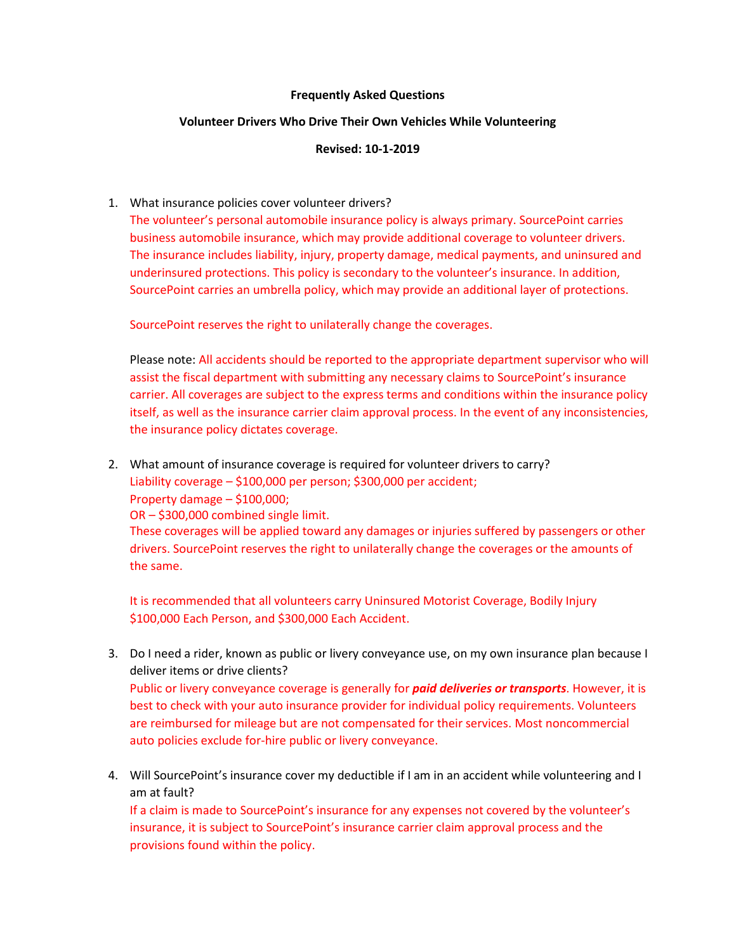## **Frequently Asked Questions**

## **Volunteer Drivers Who Drive Their Own Vehicles While Volunteering**

## **Revised: 10-1-2019**

## 1. What insurance policies cover volunteer drivers?

The volunteer's personal automobile insurance policy is always primary. SourcePoint carries business automobile insurance, which may provide additional coverage to volunteer drivers. The insurance includes liability, injury, property damage, medical payments, and uninsured and underinsured protections. This policy is secondary to the volunteer's insurance. In addition, SourcePoint carries an umbrella policy, which may provide an additional layer of protections.

SourcePoint reserves the right to unilaterally change the coverages.

Please note: All accidents should be reported to the appropriate department supervisor who will assist the fiscal department with submitting any necessary claims to SourcePoint's insurance carrier. All coverages are subject to the express terms and conditions within the insurance policy itself, as well as the insurance carrier claim approval process. In the event of any inconsistencies, the insurance policy dictates coverage.

2. What amount of insurance coverage is required for volunteer drivers to carry? Liability coverage – \$100,000 per person; \$300,000 per accident;

Property damage – \$100,000;

OR – \$300,000 combined single limit.

These coverages will be applied toward any damages or injuries suffered by passengers or other drivers. SourcePoint reserves the right to unilaterally change the coverages or the amounts of the same.

It is recommended that all volunteers carry Uninsured Motorist Coverage, Bodily Injury \$100,000 Each Person, and \$300,000 Each Accident.

- 3. Do I need a rider, known as public or livery conveyance use, on my own insurance plan because I deliver items or drive clients? Public or livery conveyance coverage is generally for *paid deliveries or transports*. However, it is best to check with your auto insurance provider for individual policy requirements. Volunteers are reimbursed for mileage but are not compensated for their services. Most noncommercial auto policies exclude for-hire public or livery conveyance.
- 4. Will SourcePoint's insurance cover my deductible if I am in an accident while volunteering and I am at fault?

If a claim is made to SourcePoint's insurance for any expenses not covered by the volunteer's insurance, it is subject to SourcePoint's insurance carrier claim approval process and the provisions found within the policy.